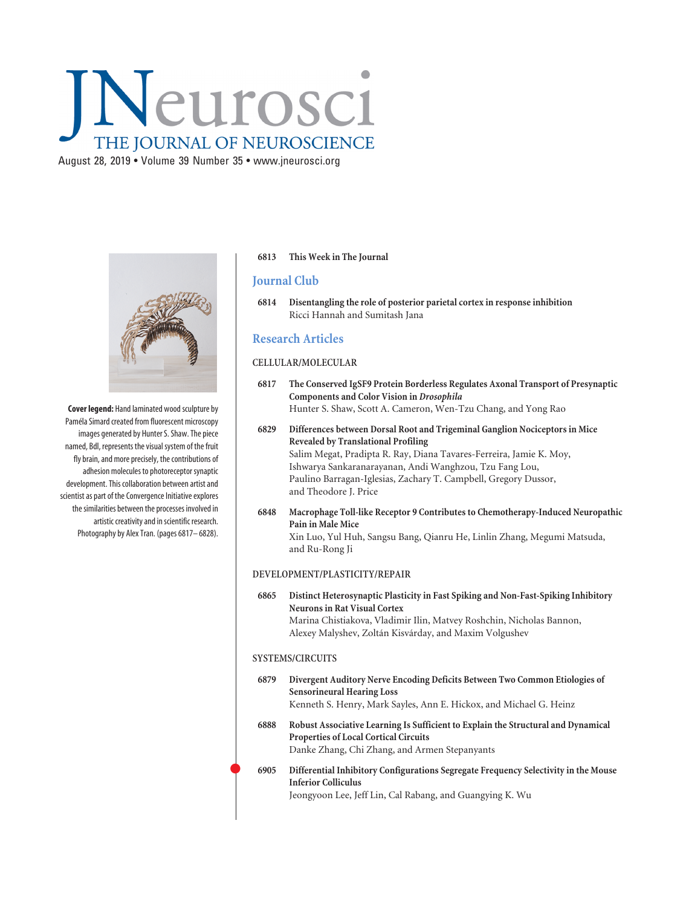# Neurosci THE JOURNAL OF NEUROSCIENCE

August 28, 2019 • Volume 39 Number 35 • www.jneurosci.org



**Cover legend:** Hand laminated wood sculpture by Paméla Simard created from fluorescent microscopy images generated by Hunter S. Shaw. The piece named, Bdl, represents the visual system of the fruit fly brain, and more precisely, the contributions of adhesion molecules to photoreceptor synaptic development. This collaboration between artist and scientist as part of the Convergence Initiative explores the similarities between the processes involved in artistic creativity and in scientific research. Photography by Alex Tran. (pages 6817– 6828).

## **6813 This Week in The Journal**

# **Journal Club**

**6814 Disentangling the role of posterior parietal cortex in response inhibition** Ricci Hannah and Sumitash Jana

# **Research Articles**

#### **CELLULAR/MOLECULAR**

- **6817 The Conserved IgSF9 Protein Borderless Regulates Axonal Transport of Presynaptic Components and Color Vision in** *Drosophila* Hunter S. Shaw, Scott A. Cameron, Wen-Tzu Chang, and Yong Rao
- **6829 Differences between Dorsal Root and Trigeminal Ganglion Nociceptors in Mice Revealed by Translational Profiling** Salim Megat, Pradipta R. Ray, Diana Tavares-Ferreira, Jamie K. Moy, Ishwarya Sankaranarayanan, Andi Wanghzou, Tzu Fang Lou, Paulino Barragan-Iglesias, Zachary T. Campbell, Gregory Dussor, and Theodore J. Price
- **6848 Macrophage Toll-like Receptor 9 Contributes to Chemotherapy-Induced Neuropathic Pain in Male Mice** Xin Luo, Yul Huh, Sangsu Bang, Qianru He, Linlin Zhang, Megumi Matsuda, and Ru-Rong Ji

#### **DEVELOPMENT/PLASTICITY/REPAIR**

**6865 Distinct Heterosynaptic Plasticity in Fast Spiking and Non-Fast-Spiking Inhibitory Neurons in Rat Visual Cortex** Marina Chistiakova, Vladimir Ilin, Matvey Roshchin, Nicholas Bannon, Alexey Malyshev, Zoltán Kisvárday, and Maxim Volgushev

## **SYSTEMS/CIRCUITS**

 $\bullet$ 

- **6879 Divergent Auditory Nerve Encoding Deficits Between Two Common Etiologies of Sensorineural Hearing Loss** Kenneth S. Henry, Mark Sayles, Ann E. Hickox, and Michael G. Heinz
- **6888 Robust Associative Learning Is Sufficient to Explain the Structural and Dynamical Properties of Local Cortical Circuits** Danke Zhang, Chi Zhang, and Armen Stepanyants
- **6905 Differential Inhibitory Configurations Segregate Frequency Selectivity in the Mouse Inferior Colliculus** Jeongyoon Lee, Jeff Lin, Cal Rabang, and Guangying K. Wu